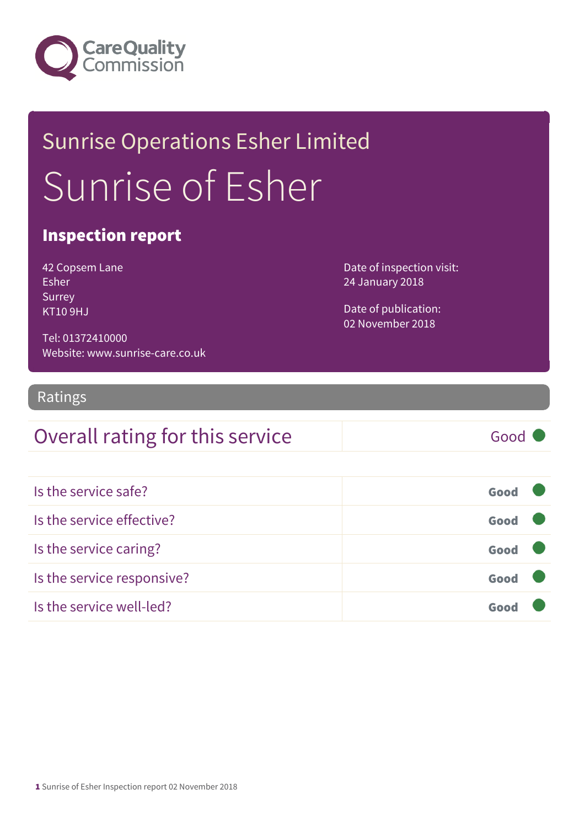

## Sunrise Operations Esher Limited Sunrise of Esher

### Inspection report

| 42 Copsem Lane |
|----------------|
| Esher          |
| Surrey         |
| KT10 9HJ       |

Date of inspection visit: 24 January 2018

Date of publication: 02 November 2018

Tel: 01372410000 Website: www.sunrise-care.co.uk

### Ratings

### Overall rating for this service Good

| Is the service safe?       | Good |  |
|----------------------------|------|--|
| Is the service effective?  | Good |  |
| Is the service caring?     | Good |  |
| Is the service responsive? | Good |  |
| Is the service well-led?   | Goo  |  |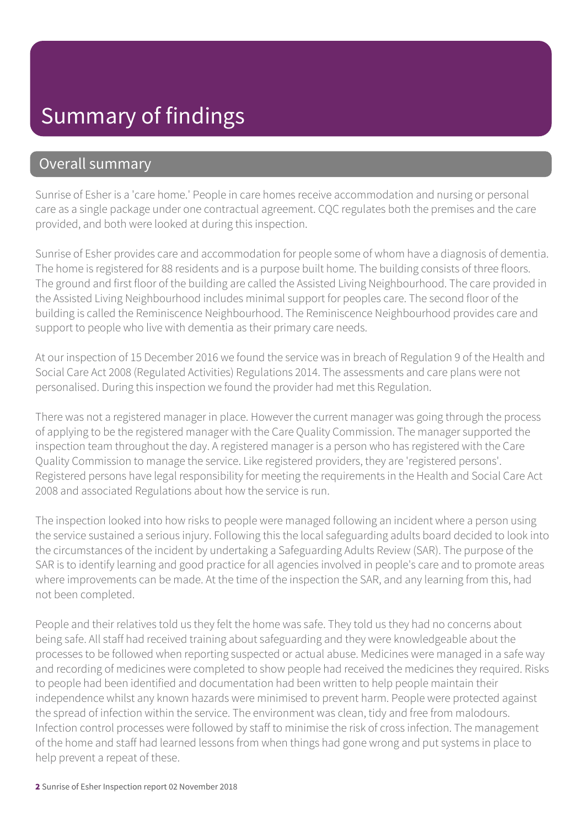### Summary of findings

### Overall summary

Sunrise of Esher is a 'care home.' People in care homes receive accommodation and nursing or personal care as a single package under one contractual agreement. CQC regulates both the premises and the care provided, and both were looked at during this inspection.

Sunrise of Esher provides care and accommodation for people some of whom have a diagnosis of dementia. The home is registered for 88 residents and is a purpose built home. The building consists of three floors. The ground and first floor of the building are called the Assisted Living Neighbourhood. The care provided in the Assisted Living Neighbourhood includes minimal support for peoples care. The second floor of the building is called the Reminiscence Neighbourhood. The Reminiscence Neighbourhood provides care and support to people who live with dementia as their primary care needs.

At our inspection of 15 December 2016 we found the service was in breach of Regulation 9 of the Health and Social Care Act 2008 (Regulated Activities) Regulations 2014. The assessments and care plans were not personalised. During this inspection we found the provider had met this Regulation.

There was not a registered manager in place. However the current manager was going through the process of applying to be the registered manager with the Care Quality Commission. The manager supported the inspection team throughout the day. A registered manager is a person who has registered with the Care Quality Commission to manage the service. Like registered providers, they are 'registered persons'. Registered persons have legal responsibility for meeting the requirements in the Health and Social Care Act 2008 and associated Regulations about how the service is run.

The inspection looked into how risks to people were managed following an incident where a person using the service sustained a serious injury. Following this the local safeguarding adults board decided to look into the circumstances of the incident by undertaking a Safeguarding Adults Review (SAR). The purpose of the SAR is to identify learning and good practice for all agencies involved in people's care and to promote areas where improvements can be made. At the time of the inspection the SAR, and any learning from this, had not been completed.

People and their relatives told us they felt the home was safe. They told us they had no concerns about being safe. All staff had received training about safeguarding and they were knowledgeable about the processes to be followed when reporting suspected or actual abuse. Medicines were managed in a safe way and recording of medicines were completed to show people had received the medicines they required. Risks to people had been identified and documentation had been written to help people maintain their independence whilst any known hazards were minimised to prevent harm. People were protected against the spread of infection within the service. The environment was clean, tidy and free from malodours. Infection control processes were followed by staff to minimise the risk of cross infection. The management of the home and staff had learned lessons from when things had gone wrong and put systems in place to help prevent a repeat of these.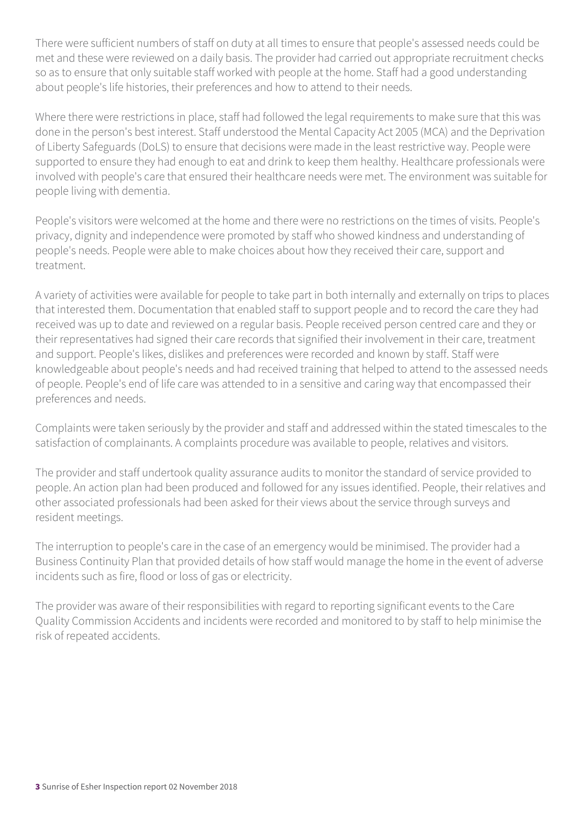There were sufficient numbers of staff on duty at all times to ensure that people's assessed needs could be met and these were reviewed on a daily basis. The provider had carried out appropriate recruitment checks so as to ensure that only suitable staff worked with people at the home. Staff had a good understanding about people's life histories, their preferences and how to attend to their needs.

Where there were restrictions in place, staff had followed the legal requirements to make sure that this was done in the person's best interest. Staff understood the Mental Capacity Act 2005 (MCA) and the Deprivation of Liberty Safeguards (DoLS) to ensure that decisions were made in the least restrictive way. People were supported to ensure they had enough to eat and drink to keep them healthy. Healthcare professionals were involved with people's care that ensured their healthcare needs were met. The environment was suitable for people living with dementia.

People's visitors were welcomed at the home and there were no restrictions on the times of visits. People's privacy, dignity and independence were promoted by staff who showed kindness and understanding of people's needs. People were able to make choices about how they received their care, support and treatment.

A variety of activities were available for people to take part in both internally and externally on trips to places that interested them. Documentation that enabled staff to support people and to record the care they had received was up to date and reviewed on a regular basis. People received person centred care and they or their representatives had signed their care records that signified their involvement in their care, treatment and support. People's likes, dislikes and preferences were recorded and known by staff. Staff were knowledgeable about people's needs and had received training that helped to attend to the assessed needs of people. People's end of life care was attended to in a sensitive and caring way that encompassed their preferences and needs.

Complaints were taken seriously by the provider and staff and addressed within the stated timescales to the satisfaction of complainants. A complaints procedure was available to people, relatives and visitors.

The provider and staff undertook quality assurance audits to monitor the standard of service provided to people. An action plan had been produced and followed for any issues identified. People, their relatives and other associated professionals had been asked for their views about the service through surveys and resident meetings.

The interruption to people's care in the case of an emergency would be minimised. The provider had a Business Continuity Plan that provided details of how staff would manage the home in the event of adverse incidents such as fire, flood or loss of gas or electricity.

The provider was aware of their responsibilities with regard to reporting significant events to the Care Quality Commission Accidents and incidents were recorded and monitored to by staff to help minimise the risk of repeated accidents.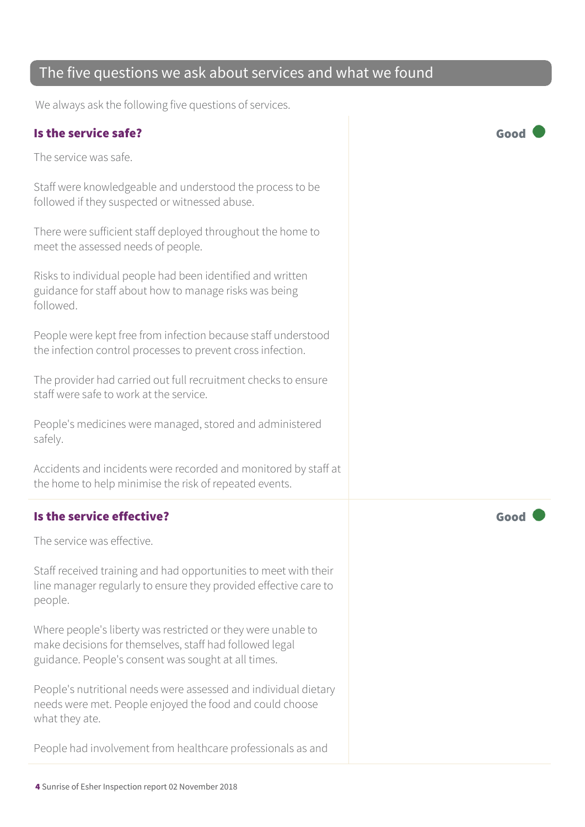### The five questions we ask about services and what we found

We always ask the following five questions of services.

#### Is the service safe? Good

The service was safe.

Staff were knowledgeable and understood the process to be followed if they suspected or witnessed abuse.

There were sufficient staff deployed throughout the home to meet the assessed needs of people.

Risks to individual people had been identified and written guidance for staff about how to manage risks was being followed.

People were kept free from infection because staff understood the infection control processes to prevent cross infection.

The provider had carried out full recruitment checks to ensure staff were safe to work at the service.

People's medicines were managed, stored and administered safely.

Accidents and incidents were recorded and monitored by staff at the home to help minimise the risk of repeated events.

### Is the service effective? The service effective?

The service was effective.

Staff received training and had opportunities to meet with their line manager regularly to ensure they provided effective care to people.

Where people's liberty was restricted or they were unable to make decisions for themselves, staff had followed legal guidance. People's consent was sought at all times.

People's nutritional needs were assessed and individual dietary needs were met. People enjoyed the food and could choose what they ate.

People had involvement from healthcare professionals as and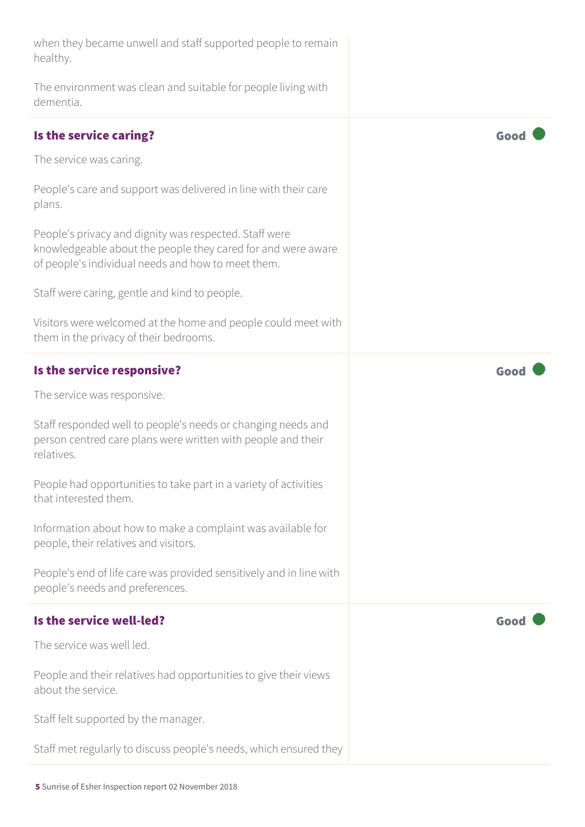| when they became unwell and staff supported people to remain<br>healthy.                                                                                                     |      |
|------------------------------------------------------------------------------------------------------------------------------------------------------------------------------|------|
| The environment was clean and suitable for people living with<br>dementia.                                                                                                   |      |
| Is the service caring?                                                                                                                                                       | Good |
| The service was caring.                                                                                                                                                      |      |
| People's care and support was delivered in line with their care<br>plans.                                                                                                    |      |
| People's privacy and dignity was respected. Staff were<br>knowledgeable about the people they cared for and were aware<br>of people's individual needs and how to meet them. |      |
| Staff were caring, gentle and kind to people.                                                                                                                                |      |
| Visitors were welcomed at the home and people could meet with<br>them in the privacy of their bedrooms.                                                                      |      |
| Is the service responsive?                                                                                                                                                   | Goo  |
| The service was responsive.                                                                                                                                                  |      |
| Staff responded well to people's needs or changing needs and<br>person centred care plans were written with people and their<br>relatives.                                   |      |
| People had opportunities to take part in a variety of activities<br>that interested them.                                                                                    |      |
| Information about how to make a complaint was available for<br>people, their relatives and visitors.                                                                         |      |
| People's end of life care was provided sensitively and in line with<br>people's needs and preferences.                                                                       |      |
| Is the service well-led?                                                                                                                                                     | Good |
| The service was well led.                                                                                                                                                    |      |
| People and their relatives had opportunities to give their views<br>about the service.                                                                                       |      |
| Staff felt supported by the manager.                                                                                                                                         |      |
| Staff met regularly to discuss people's needs, which ensured they                                                                                                            |      |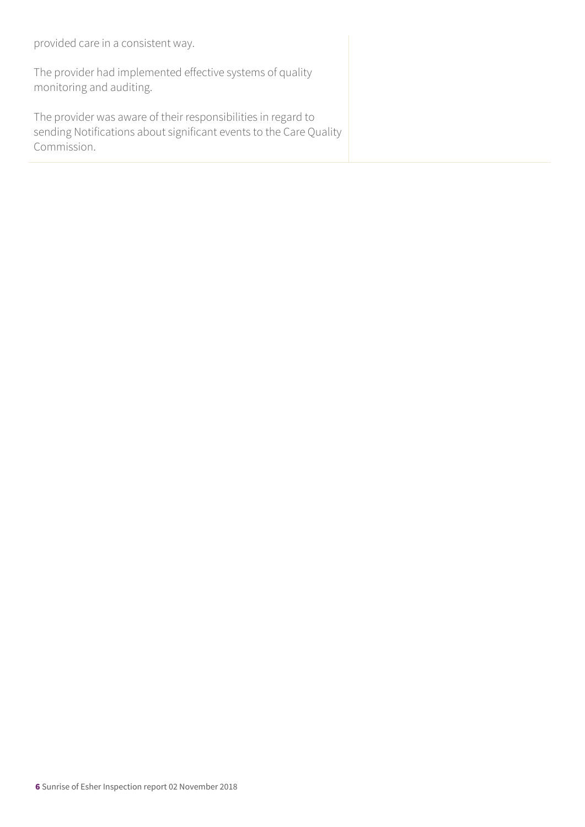provided care in a consistent way.

The provider had implemented effective systems of quality monitoring and auditing.

The provider was aware of their responsibilities in regard to sending Notifications about significant events to the Care Quality Commission.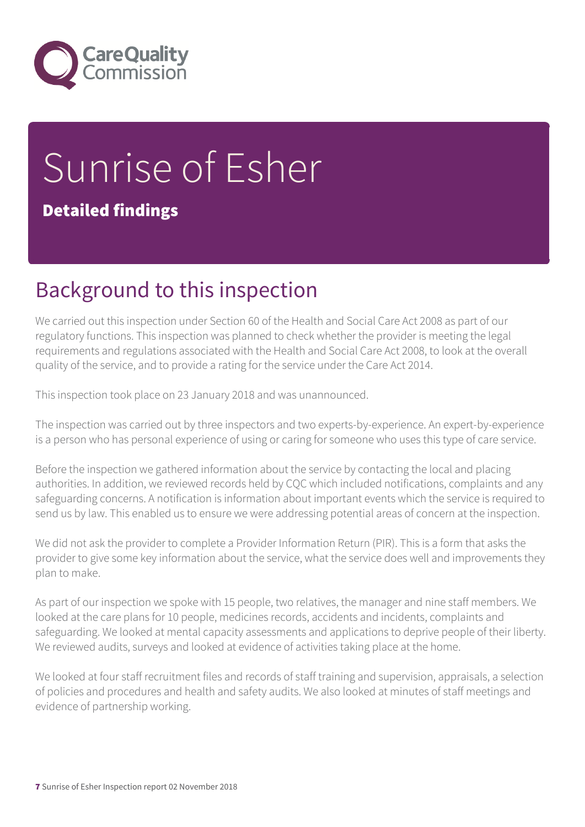

# Sunrise of Esher

### Detailed findings

## Background to this inspection

We carried out this inspection under Section 60 of the Health and Social Care Act 2008 as part of our regulatory functions. This inspection was planned to check whether the provider is meeting the legal requirements and regulations associated with the Health and Social Care Act 2008, to look at the overall quality of the service, and to provide a rating for the service under the Care Act 2014.

This inspection took place on 23 January 2018 and was unannounced.

The inspection was carried out by three inspectors and two experts-by-experience. An expert-by-experience is a person who has personal experience of using or caring for someone who uses this type of care service.

Before the inspection we gathered information about the service by contacting the local and placing authorities. In addition, we reviewed records held by CQC which included notifications, complaints and any safeguarding concerns. A notification is information about important events which the service is required to send us by law. This enabled us to ensure we were addressing potential areas of concern at the inspection.

We did not ask the provider to complete a Provider Information Return (PIR). This is a form that asks the provider to give some key information about the service, what the service does well and improvements they plan to make.

As part of our inspection we spoke with 15 people, two relatives, the manager and nine staff members. We looked at the care plans for 10 people, medicines records, accidents and incidents, complaints and safeguarding. We looked at mental capacity assessments and applications to deprive people of their liberty. We reviewed audits, surveys and looked at evidence of activities taking place at the home.

We looked at four staff recruitment files and records of staff training and supervision, appraisals, a selection of policies and procedures and health and safety audits. We also looked at minutes of staff meetings and evidence of partnership working.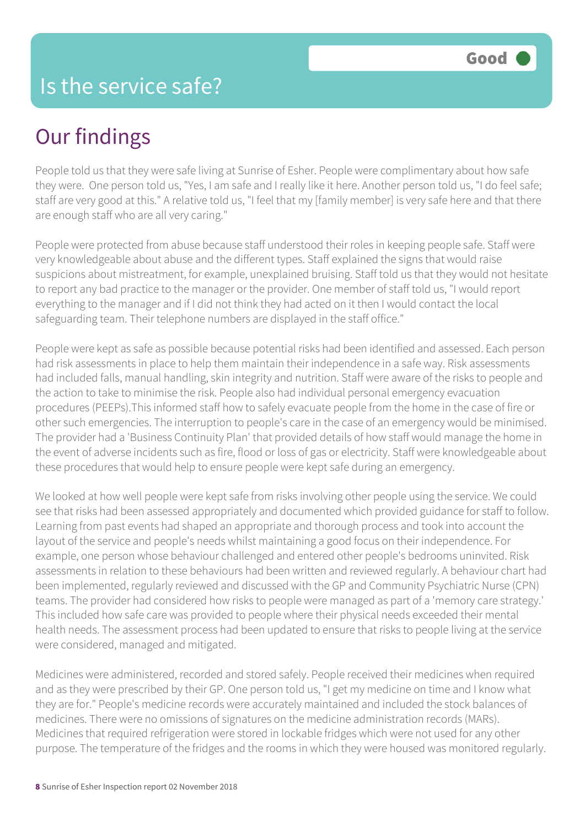People told us that they were safe living at Sunrise of Esher. People were complimentary about how safe they were. One person told us, "Yes, I am safe and I really like it here. Another person told us, "I do feel safe; staff are very good at this." A relative told us, "I feel that my [family member] is very safe here and that there are enough staff who are all very caring."

People were protected from abuse because staff understood their roles in keeping people safe. Staff were very knowledgeable about abuse and the different types. Staff explained the signs that would raise suspicions about mistreatment, for example, unexplained bruising. Staff told us that they would not hesitate to report any bad practice to the manager or the provider. One member of staff told us, "I would report everything to the manager and if I did not think they had acted on it then I would contact the local safeguarding team. Their telephone numbers are displayed in the staff office."

People were kept as safe as possible because potential risks had been identified and assessed. Each person had risk assessments in place to help them maintain their independence in a safe way. Risk assessments had included falls, manual handling, skin integrity and nutrition. Staff were aware of the risks to people and the action to take to minimise the risk. People also had individual personal emergency evacuation procedures (PEEPs).This informed staff how to safely evacuate people from the home in the case of fire or other such emergencies. The interruption to people's care in the case of an emergency would be minimised. The provider had a 'Business Continuity Plan' that provided details of how staff would manage the home in the event of adverse incidents such as fire, flood or loss of gas or electricity. Staff were knowledgeable about these procedures that would help to ensure people were kept safe during an emergency.

We looked at how well people were kept safe from risks involving other people using the service. We could see that risks had been assessed appropriately and documented which provided guidance for staff to follow. Learning from past events had shaped an appropriate and thorough process and took into account the layout of the service and people's needs whilst maintaining a good focus on their independence. For example, one person whose behaviour challenged and entered other people's bedrooms uninvited. Risk assessments in relation to these behaviours had been written and reviewed regularly. A behaviour chart had been implemented, regularly reviewed and discussed with the GP and Community Psychiatric Nurse (CPN) teams. The provider had considered how risks to people were managed as part of a 'memory care strategy.' This included how safe care was provided to people where their physical needs exceeded their mental health needs. The assessment process had been updated to ensure that risks to people living at the service were considered, managed and mitigated.

Medicines were administered, recorded and stored safely. People received their medicines when required and as they were prescribed by their GP. One person told us, "I get my medicine on time and I know what they are for." People's medicine records were accurately maintained and included the stock balances of medicines. There were no omissions of signatures on the medicine administration records (MARs). Medicines that required refrigeration were stored in lockable fridges which were not used for any other purpose. The temperature of the fridges and the rooms in which they were housed was monitored regularly.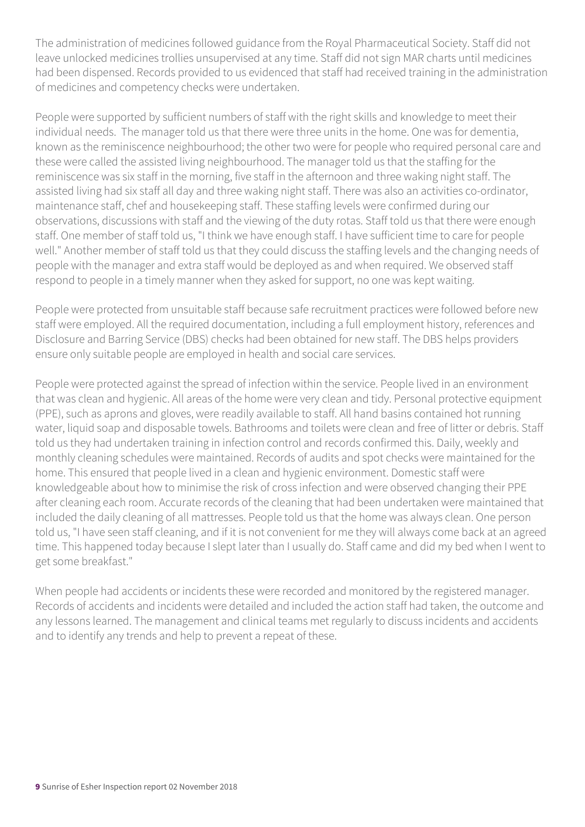The administration of medicines followed guidance from the Royal Pharmaceutical Society. Staff did not leave unlocked medicines trollies unsupervised at any time. Staff did not sign MAR charts until medicines had been dispensed. Records provided to us evidenced that staff had received training in the administration of medicines and competency checks were undertaken.

People were supported by sufficient numbers of staff with the right skills and knowledge to meet their individual needs. The manager told us that there were three units in the home. One was for dementia, known as the reminiscence neighbourhood; the other two were for people who required personal care and these were called the assisted living neighbourhood. The manager told us that the staffing for the reminiscence was six staff in the morning, five staff in the afternoon and three waking night staff. The assisted living had six staff all day and three waking night staff. There was also an activities co-ordinator, maintenance staff, chef and housekeeping staff. These staffing levels were confirmed during our observations, discussions with staff and the viewing of the duty rotas. Staff told us that there were enough staff. One member of staff told us, "I think we have enough staff. I have sufficient time to care for people well." Another member of staff told us that they could discuss the staffing levels and the changing needs of people with the manager and extra staff would be deployed as and when required. We observed staff respond to people in a timely manner when they asked for support, no one was kept waiting.

People were protected from unsuitable staff because safe recruitment practices were followed before new staff were employed. All the required documentation, including a full employment history, references and Disclosure and Barring Service (DBS) checks had been obtained for new staff. The DBS helps providers ensure only suitable people are employed in health and social care services.

People were protected against the spread of infection within the service. People lived in an environment that was clean and hygienic. All areas of the home were very clean and tidy. Personal protective equipment (PPE), such as aprons and gloves, were readily available to staff. All hand basins contained hot running water, liquid soap and disposable towels. Bathrooms and toilets were clean and free of litter or debris. Staff told us they had undertaken training in infection control and records confirmed this. Daily, weekly and monthly cleaning schedules were maintained. Records of audits and spot checks were maintained for the home. This ensured that people lived in a clean and hygienic environment. Domestic staff were knowledgeable about how to minimise the risk of cross infection and were observed changing their PPE after cleaning each room. Accurate records of the cleaning that had been undertaken were maintained that included the daily cleaning of all mattresses. People told us that the home was always clean. One person told us, "I have seen staff cleaning, and if it is not convenient for me they will always come back at an agreed time. This happened today because I slept later than I usually do. Staff came and did my bed when I went to get some breakfast."

When people had accidents or incidents these were recorded and monitored by the registered manager. Records of accidents and incidents were detailed and included the action staff had taken, the outcome and any lessons learned. The management and clinical teams met regularly to discuss incidents and accidents and to identify any trends and help to prevent a repeat of these.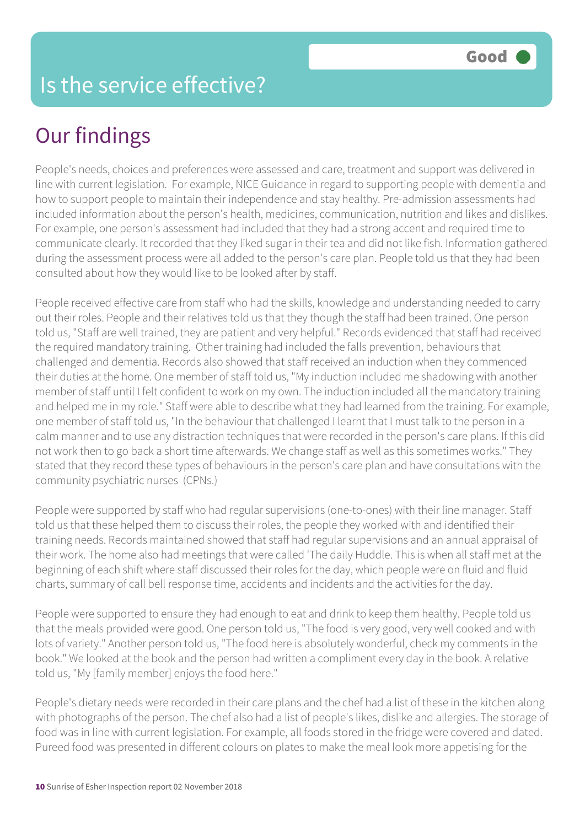People's needs, choices and preferences were assessed and care, treatment and support was delivered in line with current legislation. For example, NICE Guidance in regard to supporting people with dementia and how to support people to maintain their independence and stay healthy. Pre-admission assessments had included information about the person's health, medicines, communication, nutrition and likes and dislikes. For example, one person's assessment had included that they had a strong accent and required time to communicate clearly. It recorded that they liked sugar in their tea and did not like fish. Information gathered during the assessment process were all added to the person's care plan. People told us that they had been consulted about how they would like to be looked after by staff.

People received effective care from staff who had the skills, knowledge and understanding needed to carry out their roles. People and their relatives told us that they though the staff had been trained. One person told us, "Staff are well trained, they are patient and very helpful." Records evidenced that staff had received the required mandatory training. Other training had included the falls prevention, behaviours that challenged and dementia. Records also showed that staff received an induction when they commenced their duties at the home. One member of staff told us, "My induction included me shadowing with another member of staff until I felt confident to work on my own. The induction included all the mandatory training and helped me in my role." Staff were able to describe what they had learned from the training. For example, one member of staff told us, "In the behaviour that challenged I learnt that I must talk to the person in a calm manner and to use any distraction techniques that were recorded in the person's care plans. If this did not work then to go back a short time afterwards. We change staff as well as this sometimes works." They stated that they record these types of behaviours in the person's care plan and have consultations with the community psychiatric nurses (CPNs.)

People were supported by staff who had regular supervisions (one-to-ones) with their line manager. Staff told us that these helped them to discuss their roles, the people they worked with and identified their training needs. Records maintained showed that staff had regular supervisions and an annual appraisal of their work. The home also had meetings that were called 'The daily Huddle. This is when all staff met at the beginning of each shift where staff discussed their roles for the day, which people were on fluid and fluid charts, summary of call bell response time, accidents and incidents and the activities for the day.

People were supported to ensure they had enough to eat and drink to keep them healthy. People told us that the meals provided were good. One person told us, "The food is very good, very well cooked and with lots of variety." Another person told us, "The food here is absolutely wonderful, check my comments in the book." We looked at the book and the person had written a compliment every day in the book. A relative told us, "My [family member] enjoys the food here."

People's dietary needs were recorded in their care plans and the chef had a list of these in the kitchen along with photographs of the person. The chef also had a list of people's likes, dislike and allergies. The storage of food was in line with current legislation. For example, all foods stored in the fridge were covered and dated. Pureed food was presented in different colours on plates to make the meal look more appetising for the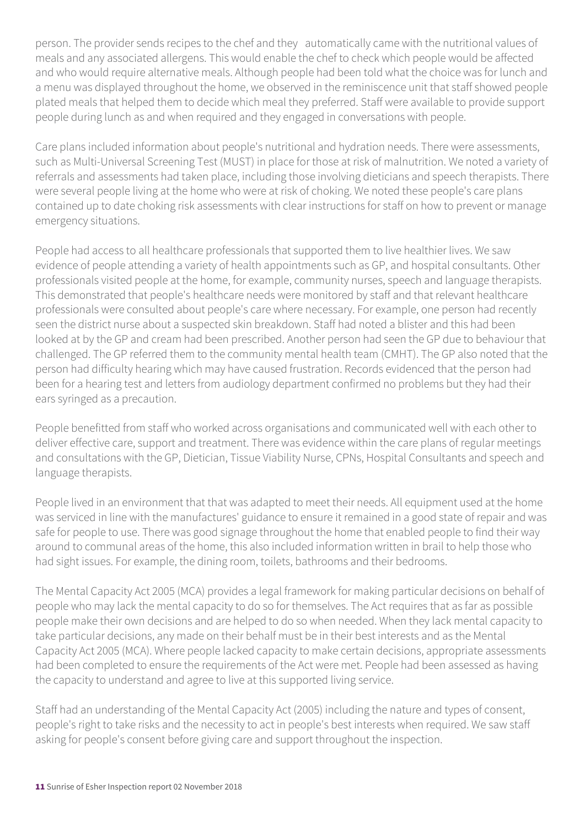person. The provider sends recipes to the chef and they automatically came with the nutritional values of meals and any associated allergens. This would enable the chef to check which people would be affected and who would require alternative meals. Although people had been told what the choice was for lunch and a menu was displayed throughout the home, we observed in the reminiscence unit that staff showed people plated meals that helped them to decide which meal they preferred. Staff were available to provide support people during lunch as and when required and they engaged in conversations with people.

Care plans included information about people's nutritional and hydration needs. There were assessments, such as Multi-Universal Screening Test (MUST) in place for those at risk of malnutrition. We noted a variety of referrals and assessments had taken place, including those involving dieticians and speech therapists. There were several people living at the home who were at risk of choking. We noted these people's care plans contained up to date choking risk assessments with clear instructions for staff on how to prevent or manage emergency situations.

People had access to all healthcare professionals that supported them to live healthier lives. We saw evidence of people attending a variety of health appointments such as GP, and hospital consultants. Other professionals visited people at the home, for example, community nurses, speech and language therapists. This demonstrated that people's healthcare needs were monitored by staff and that relevant healthcare professionals were consulted about people's care where necessary. For example, one person had recently seen the district nurse about a suspected skin breakdown. Staff had noted a blister and this had been looked at by the GP and cream had been prescribed. Another person had seen the GP due to behaviour that challenged. The GP referred them to the community mental health team (CMHT). The GP also noted that the person had difficulty hearing which may have caused frustration. Records evidenced that the person had been for a hearing test and letters from audiology department confirmed no problems but they had their ears syringed as a precaution.

People benefitted from staff who worked across organisations and communicated well with each other to deliver effective care, support and treatment. There was evidence within the care plans of regular meetings and consultations with the GP, Dietician, Tissue Viability Nurse, CPNs, Hospital Consultants and speech and language therapists.

People lived in an environment that that was adapted to meet their needs. All equipment used at the home was serviced in line with the manufactures' guidance to ensure it remained in a good state of repair and was safe for people to use. There was good signage throughout the home that enabled people to find their way around to communal areas of the home, this also included information written in brail to help those who had sight issues. For example, the dining room, toilets, bathrooms and their bedrooms.

The Mental Capacity Act 2005 (MCA) provides a legal framework for making particular decisions on behalf of people who may lack the mental capacity to do so for themselves. The Act requires that as far as possible people make their own decisions and are helped to do so when needed. When they lack mental capacity to take particular decisions, any made on their behalf must be in their best interests and as the Mental Capacity Act 2005 (MCA). Where people lacked capacity to make certain decisions, appropriate assessments had been completed to ensure the requirements of the Act were met. People had been assessed as having the capacity to understand and agree to live at this supported living service.

Staff had an understanding of the Mental Capacity Act (2005) including the nature and types of consent, people's right to take risks and the necessity to act in people's best interests when required. We saw staff asking for people's consent before giving care and support throughout the inspection.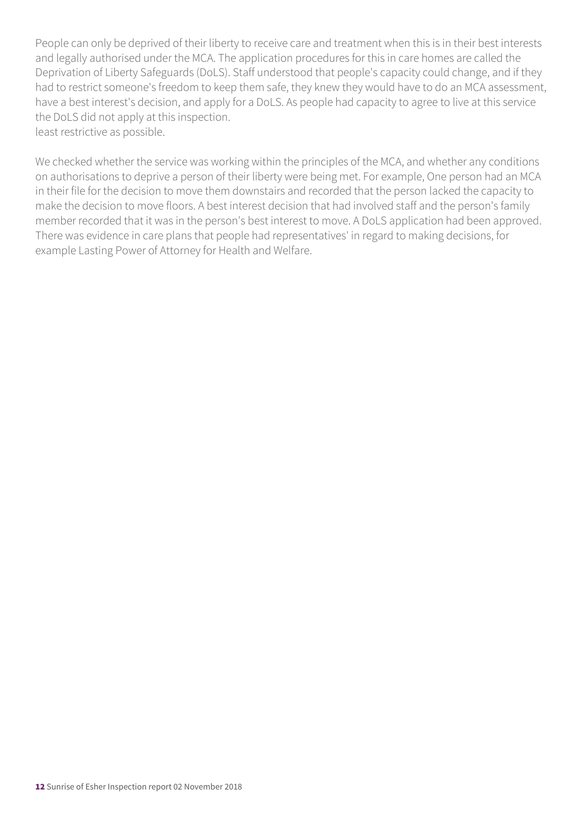People can only be deprived of their liberty to receive care and treatment when this is in their best interests and legally authorised under the MCA. The application procedures for this in care homes are called the Deprivation of Liberty Safeguards (DoLS). Staff understood that people's capacity could change, and if they had to restrict someone's freedom to keep them safe, they knew they would have to do an MCA assessment, have a best interest's decision, and apply for a DoLS. As people had capacity to agree to live at this service the DoLS did not apply at this inspection. least restrictive as possible.

We checked whether the service was working within the principles of the MCA, and whether any conditions on authorisations to deprive a person of their liberty were being met. For example, One person had an MCA in their file for the decision to move them downstairs and recorded that the person lacked the capacity to make the decision to move floors. A best interest decision that had involved staff and the person's family member recorded that it was in the person's best interest to move. A DoLS application had been approved. There was evidence in care plans that people had representatives' in regard to making decisions, for example Lasting Power of Attorney for Health and Welfare.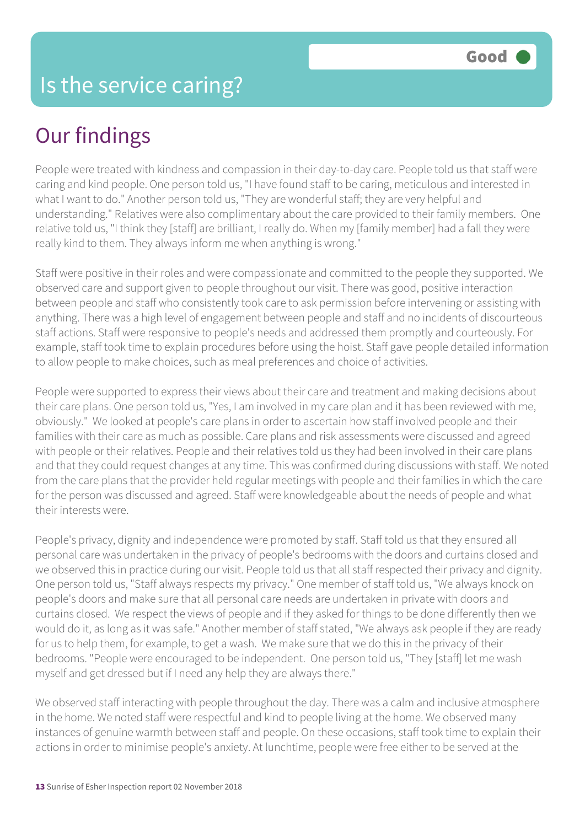People were treated with kindness and compassion in their day-to-day care. People told us that staff were caring and kind people. One person told us, "I have found staff to be caring, meticulous and interested in what I want to do." Another person told us, "They are wonderful staff; they are very helpful and understanding." Relatives were also complimentary about the care provided to their family members. One relative told us, "I think they [staff] are brilliant, I really do. When my [family member] had a fall they were really kind to them. They always inform me when anything is wrong."

Staff were positive in their roles and were compassionate and committed to the people they supported. We observed care and support given to people throughout our visit. There was good, positive interaction between people and staff who consistently took care to ask permission before intervening or assisting with anything. There was a high level of engagement between people and staff and no incidents of discourteous staff actions. Staff were responsive to people's needs and addressed them promptly and courteously. For example, staff took time to explain procedures before using the hoist. Staff gave people detailed information to allow people to make choices, such as meal preferences and choice of activities.

People were supported to express their views about their care and treatment and making decisions about their care plans. One person told us, "Yes, I am involved in my care plan and it has been reviewed with me, obviously." We looked at people's care plans in order to ascertain how staff involved people and their families with their care as much as possible. Care plans and risk assessments were discussed and agreed with people or their relatives. People and their relatives told us they had been involved in their care plans and that they could request changes at any time. This was confirmed during discussions with staff. We noted from the care plans that the provider held regular meetings with people and their families in which the care for the person was discussed and agreed. Staff were knowledgeable about the needs of people and what their interests were.

People's privacy, dignity and independence were promoted by staff. Staff told us that they ensured all personal care was undertaken in the privacy of people's bedrooms with the doors and curtains closed and we observed this in practice during our visit. People told us that all staff respected their privacy and dignity. One person told us, "Staff always respects my privacy." One member of staff told us, "We always knock on people's doors and make sure that all personal care needs are undertaken in private with doors and curtains closed. We respect the views of people and if they asked for things to be done differently then we would do it, as long as it was safe." Another member of staff stated, "We always ask people if they are ready for us to help them, for example, to get a wash. We make sure that we do this in the privacy of their bedrooms. "People were encouraged to be independent. One person told us, "They [staff] let me wash myself and get dressed but if I need any help they are always there."

We observed staff interacting with people throughout the day. There was a calm and inclusive atmosphere in the home. We noted staff were respectful and kind to people living at the home. We observed many instances of genuine warmth between staff and people. On these occasions, staff took time to explain their actions in order to minimise people's anxiety. At lunchtime, people were free either to be served at the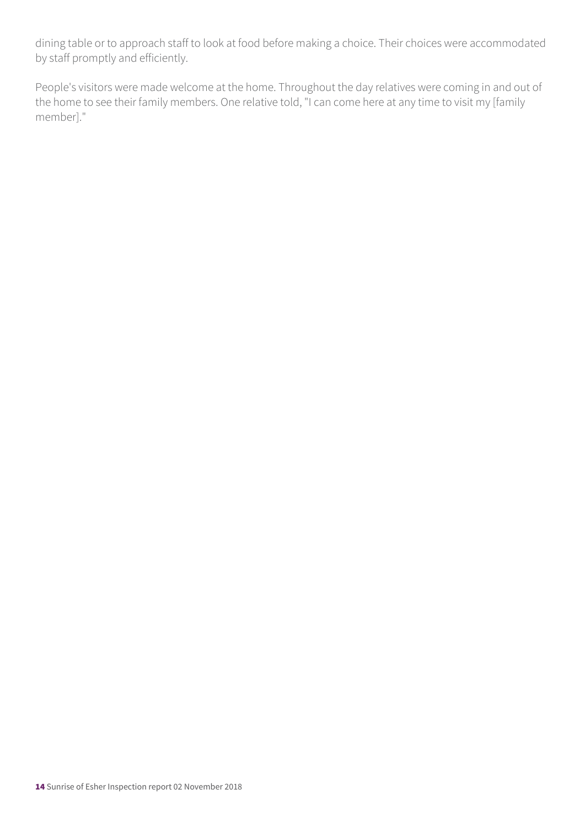dining table or to approach staff to look at food before making a choice. Their choices were accommodated by staff promptly and efficiently.

People's visitors were made welcome at the home. Throughout the day relatives were coming in and out of the home to see their family members. One relative told, "I can come here at any time to visit my [family member]."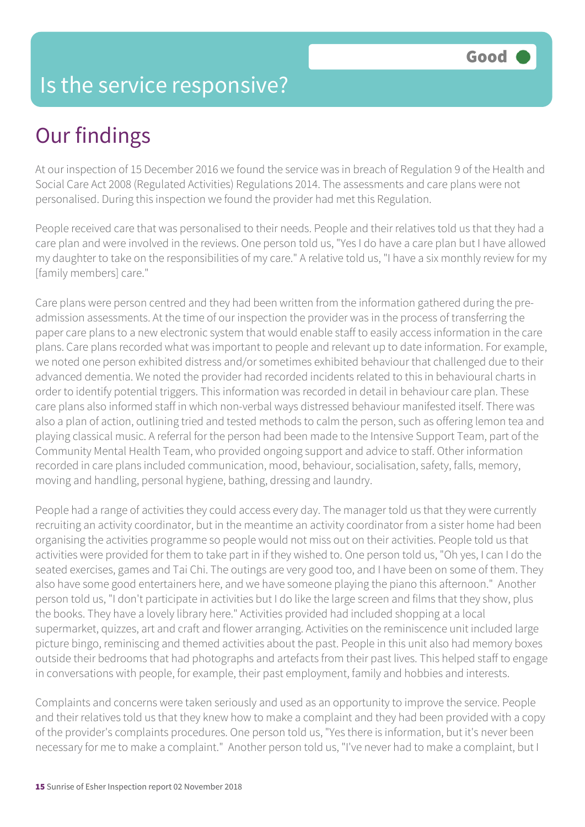### Is the service responsive?

## Our findings

At our inspection of 15 December 2016 we found the service was in breach of Regulation 9 of the Health and Social Care Act 2008 (Regulated Activities) Regulations 2014. The assessments and care plans were not personalised. During this inspection we found the provider had met this Regulation.

People received care that was personalised to their needs. People and their relatives told us that they had a care plan and were involved in the reviews. One person told us, "Yes I do have a care plan but I have allowed my daughter to take on the responsibilities of my care." A relative told us, "I have a six monthly review for my [family members] care."

Care plans were person centred and they had been written from the information gathered during the preadmission assessments. At the time of our inspection the provider was in the process of transferring the paper care plans to a new electronic system that would enable staff to easily access information in the care plans. Care plans recorded what was important to people and relevant up to date information. For example, we noted one person exhibited distress and/or sometimes exhibited behaviour that challenged due to their advanced dementia. We noted the provider had recorded incidents related to this in behavioural charts in order to identify potential triggers. This information was recorded in detail in behaviour care plan. These care plans also informed staff in which non-verbal ways distressed behaviour manifested itself. There was also a plan of action, outlining tried and tested methods to calm the person, such as offering lemon tea and playing classical music. A referral for the person had been made to the Intensive Support Team, part of the Community Mental Health Team, who provided ongoing support and advice to staff. Other information recorded in care plans included communication, mood, behaviour, socialisation, safety, falls, memory, moving and handling, personal hygiene, bathing, dressing and laundry.

People had a range of activities they could access every day. The manager told us that they were currently recruiting an activity coordinator, but in the meantime an activity coordinator from a sister home had been organising the activities programme so people would not miss out on their activities. People told us that activities were provided for them to take part in if they wished to. One person told us, "Oh yes, I can I do the seated exercises, games and Tai Chi. The outings are very good too, and I have been on some of them. They also have some good entertainers here, and we have someone playing the piano this afternoon." Another person told us, "I don't participate in activities but I do like the large screen and films that they show, plus the books. They have a lovely library here." Activities provided had included shopping at a local supermarket, quizzes, art and craft and flower arranging. Activities on the reminiscence unit included large picture bingo, reminiscing and themed activities about the past. People in this unit also had memory boxes outside their bedrooms that had photographs and artefacts from their past lives. This helped staff to engage in conversations with people, for example, their past employment, family and hobbies and interests.

Complaints and concerns were taken seriously and used as an opportunity to improve the service. People and their relatives told us that they knew how to make a complaint and they had been provided with a copy of the provider's complaints procedures. One person told us, "Yes there is information, but it's never been necessary for me to make a complaint." Another person told us, "I've never had to make a complaint, but I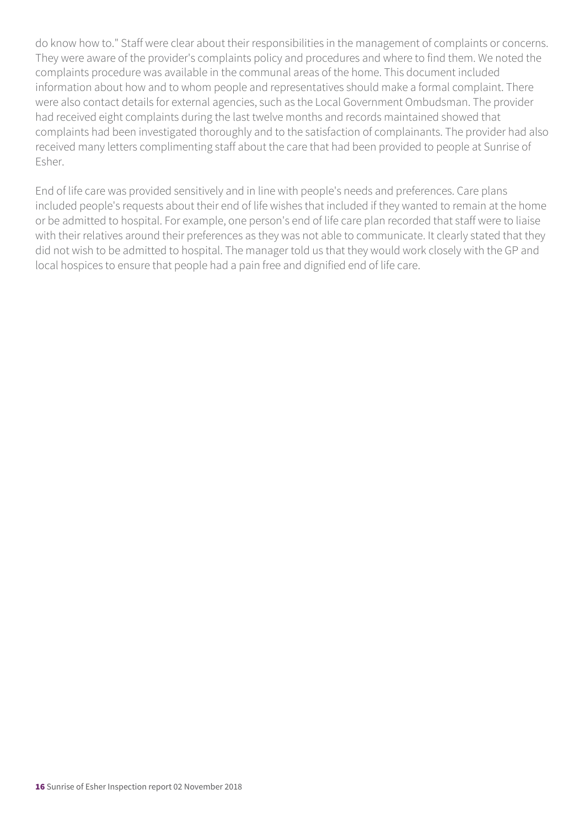do know how to." Staff were clear about their responsibilities in the management of complaints or concerns. They were aware of the provider's complaints policy and procedures and where to find them. We noted the complaints procedure was available in the communal areas of the home. This document included information about how and to whom people and representatives should make a formal complaint. There were also contact details for external agencies, such as the Local Government Ombudsman. The provider had received eight complaints during the last twelve months and records maintained showed that complaints had been investigated thoroughly and to the satisfaction of complainants. The provider had also received many letters complimenting staff about the care that had been provided to people at Sunrise of Esher.

End of life care was provided sensitively and in line with people's needs and preferences. Care plans included people's requests about their end of life wishes that included if they wanted to remain at the home or be admitted to hospital. For example, one person's end of life care plan recorded that staff were to liaise with their relatives around their preferences as they was not able to communicate. It clearly stated that they did not wish to be admitted to hospital. The manager told us that they would work closely with the GP and local hospices to ensure that people had a pain free and dignified end of life care.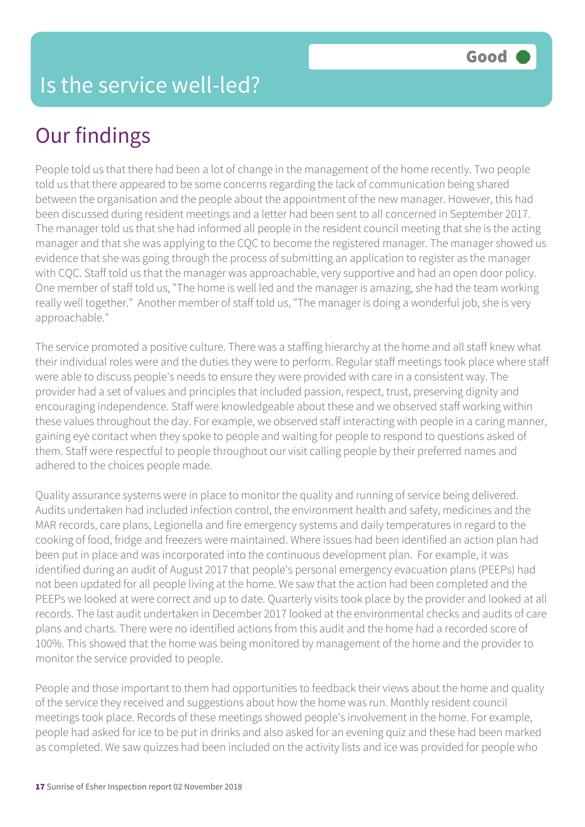People told us that there had been a lot of change in the management of the home recently. Two people told us that there appeared to be some concerns regarding the lack of communication being shared between the organisation and the people about the appointment of the new manager. However, this had been discussed during resident meetings and a letter had been sent to all concerned in September 2017. The manager told us that she had informed all people in the resident council meeting that she is the acting manager and that she was applying to the CQC to become the registered manager. The manager showed us evidence that she was going through the process of submitting an application to register as the manager with CQC. Staff told us that the manager was approachable, very supportive and had an open door policy. One member of staff told us, "The home is well led and the manager is amazing, she had the team working really well together." Another member of staff told us, "The manager is doing a wonderful job, she is very approachable."

The service promoted a positive culture. There was a staffing hierarchy at the home and all staff knew what their individual roles were and the duties they were to perform. Regular staff meetings took place where staff were able to discuss people's needs to ensure they were provided with care in a consistent way. The provider had a set of values and principles that included passion, respect, trust, preserving dignity and encouraging independence. Staff were knowledgeable about these and we observed staff working within these values throughout the day. For example, we observed staff interacting with people in a caring manner, gaining eye contact when they spoke to people and waiting for people to respond to questions asked of them. Staff were respectful to people throughout our visit calling people by their preferred names and adhered to the choices people made.

Quality assurance systems were in place to monitor the quality and running of service being delivered. Audits undertaken had included infection control, the environment health and safety, medicines and the MAR records, care plans, Legionella and fire emergency systems and daily temperatures in regard to the cooking of food, fridge and freezers were maintained. Where issues had been identified an action plan had been put in place and was incorporated into the continuous development plan. For example, it was identified during an audit of August 2017 that people's personal emergency evacuation plans (PEEPs) had not been updated for all people living at the home. We saw that the action had been completed and the PEEPs we looked at were correct and up to date. Quarterly visits took place by the provider and looked at all records. The last audit undertaken in December 2017 looked at the environmental checks and audits of care plans and charts. There were no identified actions from this audit and the home had a recorded score of 100%. This showed that the home was being monitored by management of the home and the provider to monitor the service provided to people.

People and those important to them had opportunities to feedback their views about the home and quality of the service they received and suggestions about how the home was run. Monthly resident council meetings took place. Records of these meetings showed people's involvement in the home. For example, people had asked for ice to be put in drinks and also asked for an evening quiz and these had been marked as completed. We saw quizzes had been included on the activity lists and ice was provided for people who